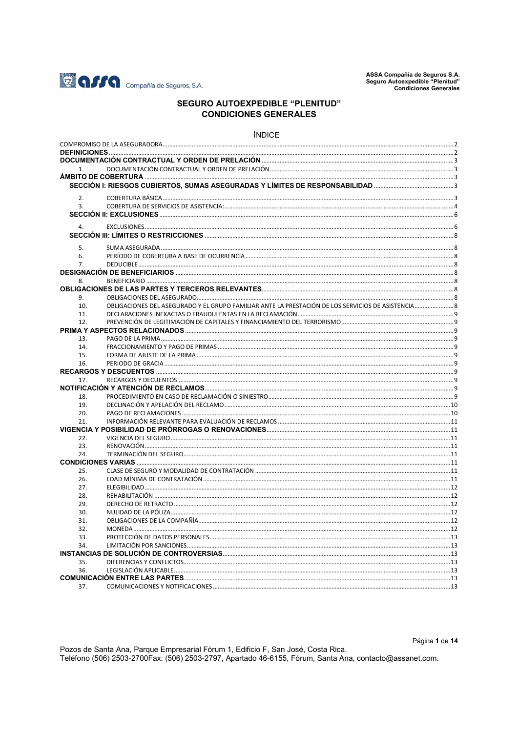

# **SEGURO AUTOEXPEDIBLE "PLENITUD" CONDICIONES GENERALES**

#### **ÍNDICE**

| 2.               |                                                                                                  |  |
|------------------|--------------------------------------------------------------------------------------------------|--|
| $\overline{3}$ . |                                                                                                  |  |
|                  |                                                                                                  |  |
|                  |                                                                                                  |  |
| 4.               |                                                                                                  |  |
|                  |                                                                                                  |  |
| 5.               |                                                                                                  |  |
| 6.               |                                                                                                  |  |
| $\overline{7}$ . |                                                                                                  |  |
|                  |                                                                                                  |  |
| 8.               |                                                                                                  |  |
|                  |                                                                                                  |  |
| 9.               |                                                                                                  |  |
| 10.              | OBLIGACIONES DEL ASEGURADO Y EL GRUPO FAMILIAR ANTE LA PRESTACIÓN DE LOS SERVICIOS DE ASISTENCIA |  |
| 11.              |                                                                                                  |  |
| 12.              |                                                                                                  |  |
|                  |                                                                                                  |  |
| 13.              |                                                                                                  |  |
| 14.              |                                                                                                  |  |
| 15.              |                                                                                                  |  |
| 16.              |                                                                                                  |  |
|                  |                                                                                                  |  |
| 17.              |                                                                                                  |  |
|                  |                                                                                                  |  |
| 18.              |                                                                                                  |  |
| 19.              |                                                                                                  |  |
| 20.              |                                                                                                  |  |
| 21.              |                                                                                                  |  |
|                  |                                                                                                  |  |
| 22.              |                                                                                                  |  |
| 23.              |                                                                                                  |  |
| 24               |                                                                                                  |  |
|                  |                                                                                                  |  |
| 25.              |                                                                                                  |  |
| 26.              |                                                                                                  |  |
| 27.              |                                                                                                  |  |
| 28.              |                                                                                                  |  |
| 29.              |                                                                                                  |  |
| 30.              |                                                                                                  |  |
| 31.              |                                                                                                  |  |
| 32.              |                                                                                                  |  |
| 33.              |                                                                                                  |  |
| 34.              |                                                                                                  |  |
|                  |                                                                                                  |  |
| 35.              |                                                                                                  |  |
| 36.              |                                                                                                  |  |
|                  |                                                                                                  |  |
| 37.              |                                                                                                  |  |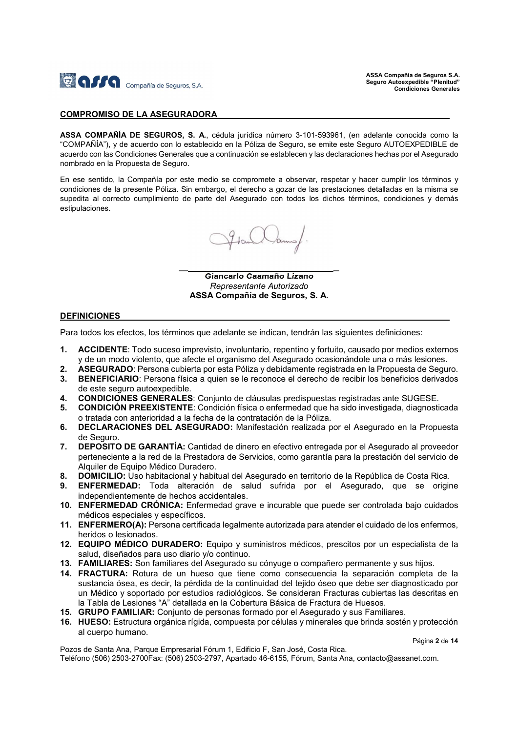

#### COMPROMISO DE LA ASEGURADORA

ASSA COMPAÑÍA DE SEGUROS, S. A., cédula jurídica número 3-101-593961, (en adelante conocida como la "COMPAÑÍA"), y de acuerdo con lo establecido en la Póliza de Seguro, se emite este Seguro AUTOEXPEDIBLE de acuerdo con las Condiciones Generales que a continuación se establecen y las declaraciones hechas por el Asegurado nombrado en la Propuesta de Seguro.

En ese sentido, la Compañía por este medio se compromete a observar, respetar y hacer cumplir los términos y condiciones de la presente Póliza. Sin embargo, el derecho a gozar de las prestaciones detalladas en la misma se supedita al correcto cumplimiento de parte del Asegurado con todos los dichos términos, condiciones y demás estipulaciones.

 $\frac{1}{\sqrt{2}}$  , and the set of the set of the set of the set of the set of the set of the set of the set of the set of the set of the set of the set of the set of the set of the set of the set of the set of the set of the

Giancarlo Caamaño Lizano Representante Autorizado ASSA Compañía de Seguros, S. A.

#### DEFINICIONES

Para todos los efectos, los términos que adelante se indican, tendrán las siguientes definiciones:

- 1. ACCIDENTE: Todo suceso imprevisto, involuntario, repentino y fortuito, causado por medios externos y de un modo violento, que afecte el organismo del Asegurado ocasionándole una o más lesiones.
- 2. ASEGURADO: Persona cubierta por esta Póliza y debidamente registrada en la Propuesta de Seguro.
- 3. BENEFICIARIO: Persona física a quien se le reconoce el derecho de recibir los beneficios derivados de este seguro autoexpedible.
- 4. CONDICIONES GENERALES: Conjunto de cláusulas predispuestas registradas ante SUGESE.
- 5. CONDICIÓN PREEXISTENTE: Condición física o enfermedad que ha sido investigada, diagnosticada o tratada con anterioridad a la fecha de la contratación de la Póliza.
- 6. DECLARACIONES DEL ASEGURADO: Manifestación realizada por el Asegurado en la Propuesta de Seguro.
- 7. DEPOSITO DE GARANTÍA: Cantidad de dinero en efectivo entregada por el Asegurado al proveedor perteneciente a la red de la Prestadora de Servicios, como garantía para la prestación del servicio de Alquiler de Equipo Médico Duradero.
- 8. DOMICILIO: Uso habitacional y habitual del Asegurado en territorio de la República de Costa Rica.
- 9. ENFERMEDAD: Toda alteración de salud sufrida por el Asegurado, que se origine independientemente de hechos accidentales.
- 10. ENFERMEDAD CRÓNICA: Enfermedad grave e incurable que puede ser controlada bajo cuidados médicos especiales y específicos.
- 11. ENFERMERO(A): Persona certificada legalmente autorizada para atender el cuidado de los enfermos, heridos o lesionados.
- 12. EQUIPO MÉDICO DURADERO: Equipo y suministros médicos, prescitos por un especialista de la salud, diseñados para uso diario y/o continuo.
- 13. FAMILIARES: Son familiares del Asegurado su cónyuge o compañero permanente y sus hijos.
- 14. FRACTURA: Rotura de un hueso que tiene como consecuencia la separación completa de la sustancia ósea, es decir, la pérdida de la continuidad del tejido óseo que debe ser diagnosticado por un Médico y soportado por estudios radiológicos. Se consideran Fracturas cubiertas las descritas en la Tabla de Lesiones "A" detallada en la Cobertura Básica de Fractura de Huesos.
- 15. GRUPO FAMILIAR: Conjunto de personas formado por el Asegurado y sus Familiares.
- 16. HUESO: Estructura orgánica rígida, compuesta por células y minerales que brinda sostén y protección al cuerpo humano.

Página 2 de 14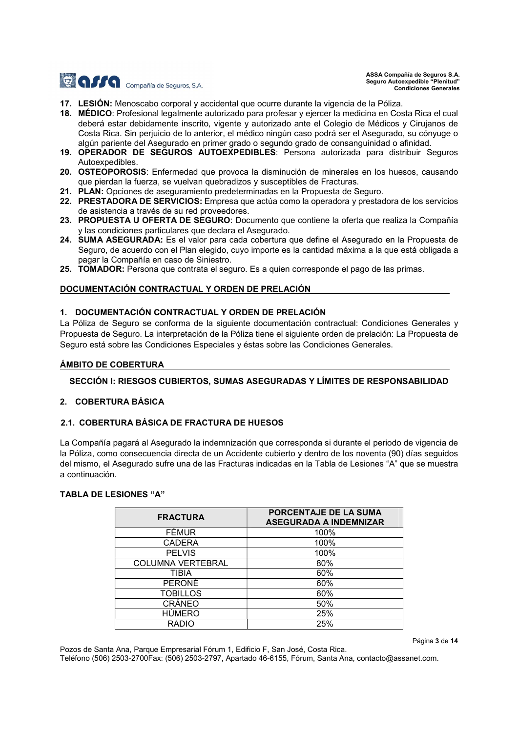

Página 3 de 14

- 17. LESIÓN: Menoscabo corporal y accidental que ocurre durante la vigencia de la Póliza.
- 18. MÉDICO: Profesional legalmente autorizado para profesar y ejercer la medicina en Costa Rica el cual deberá estar debidamente inscrito, vigente y autorizado ante el Colegio de Médicos y Cirujanos de Costa Rica. Sin perjuicio de lo anterior, el médico ningún caso podrá ser el Asegurado, su cónyuge o algún pariente del Asegurado en primer grado o segundo grado de consanguinidad o afinidad.
- 19. OPERADOR DE SEGUROS AUTOEXPEDIBLES: Persona autorizada para distribuir Seguros Autoexpedibles.
- 20. OSTEOPOROSIS: Enfermedad que provoca la disminución de minerales en los huesos, causando que pierdan la fuerza, se vuelvan quebradizos y susceptibles de Fracturas.
- 21. PLAN: Opciones de aseguramiento predeterminadas en la Propuesta de Seguro.
- 22. PRESTADORA DE SERVICIOS: Empresa que actúa como la operadora y prestadora de los servicios de asistencia a través de su red proveedores.
- 23. PROPUESTA U OFERTA DE SEGURO: Documento que contiene la oferta que realiza la Compañía y las condiciones particulares que declara el Asegurado.
- 24. SUMA ASEGURADA: Es el valor para cada cobertura que define el Asegurado en la Propuesta de Seguro, de acuerdo con el Plan elegido, cuyo importe es la cantidad máxima a la que está obligada a pagar la Compañía en caso de Siniestro.
- 25. TOMADOR: Persona que contrata el seguro. Es a quien corresponde el pago de las primas.

#### DOCUMENTACIÓN CONTRACTUAL Y ORDEN DE PRELACIÓN

#### 1. DOCUMENTACIÓN CONTRACTUAL Y ORDEN DE PRELACIÓN

La Póliza de Seguro se conforma de la siguiente documentación contractual: Condiciones Generales y Propuesta de Seguro. La interpretación de la Póliza tiene el siguiente orden de prelación: La Propuesta de Seguro está sobre las Condiciones Especiales y éstas sobre las Condiciones Generales.

### ÁMBITO DE COBERTURA

### SECCIÓN I: RIESGOS CUBIERTOS, SUMAS ASEGURADAS Y LÍMITES DE RESPONSABILIDAD

### 2. COBERTURA BÁSICA

### 2.1. COBERTURA BÁSICA DE FRACTURA DE HUESOS

La Compañía pagará al Asegurado la indemnización que corresponda si durante el periodo de vigencia de la Póliza, como consecuencia directa de un Accidente cubierto y dentro de los noventa (90) días seguidos del mismo, el Asegurado sufre una de las Fracturas indicadas en la Tabla de Lesiones "A" que se muestra a continuación.

### TABLA DE LESIONES "A"

| <b>FRACTURA</b>          | PORCENTAJE DE LA SUMA<br><b>ASEGURADA A INDEMNIZAR</b> |
|--------------------------|--------------------------------------------------------|
| <b>FÉMUR</b>             | 100%                                                   |
| <b>CADERA</b>            | 100%                                                   |
| <b>PELVIS</b>            | 100%                                                   |
| <b>COLUMNA VERTEBRAL</b> | 80%                                                    |
| TIBIA                    | 60%                                                    |
| <b>PERONÉ</b>            | 60%                                                    |
| <b>TOBILLOS</b>          | 60%                                                    |
| CRÁNEO                   | 50%                                                    |
| <b>HÚMERO</b>            | 25%                                                    |
| <b>RADIO</b>             | 25%                                                    |

Pozos de Santa Ana, Parque Empresarial Fórum 1, Edificio F, San José, Costa Rica.

Teléfono (506) 2503-2700Fax: (506) 2503-2797, Apartado 46-6155, Fórum, Santa Ana, contacto@assanet.com.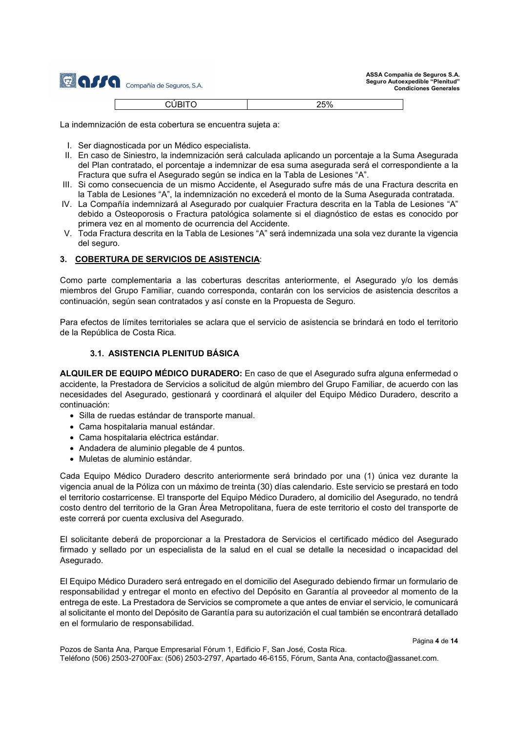| <b>AFFA</b> Compañía de Seguros, S.A. |  |
|---------------------------------------|--|
| CLIBITO                               |  |

| $\sim$ 400 $\sigma$<br>$-$<br>້<br>-<br>- | oro/<br>Z <sub>0</sub> % |
|-------------------------------------------|--------------------------|
|                                           |                          |

La indemnización de esta cobertura se encuentra sujeta a:

- I. Ser diagnosticada por un Médico especialista.
- II. En caso de Siniestro, la indemnización será calculada aplicando un porcentaje a la Suma Asegurada del Plan contratado, el porcentaje a indemnizar de esa suma asegurada será el correspondiente a la Fractura que sufra el Asegurado según se indica en la Tabla de Lesiones "A".
- III. Si como consecuencia de un mismo Accidente, el Asegurado sufre más de una Fractura descrita en la Tabla de Lesiones "A", la indemnización no excederá el monto de la Suma Asegurada contratada.
- IV. La Compañía indemnizará al Asegurado por cualquier Fractura descrita en la Tabla de Lesiones "A" debido a Osteoporosis o Fractura patológica solamente si el diagnóstico de estas es conocido por primera vez en al momento de ocurrencia del Accidente.
- V. Toda Fractura descrita en la Tabla de Lesiones "A" será indemnizada una sola vez durante la vigencia del seguro.

#### 3. COBERTURA DE SERVICIOS DE ASISTENCIA:

Como parte complementaria a las coberturas descritas anteriormente, el Asegurado y/o los demás miembros del Grupo Familiar, cuando corresponda, contarán con los servicios de asistencia descritos a continuación, según sean contratados y así conste en la Propuesta de Seguro.

Para efectos de límites territoriales se aclara que el servicio de asistencia se brindará en todo el territorio de la República de Costa Rica.

#### 3.1. ASISTENCIA PLENITUD BÁSICA

ALQUILER DE EQUIPO MÉDICO DURADERO: En caso de que el Asegurado sufra alguna enfermedad o accidente, la Prestadora de Servicios a solicitud de algún miembro del Grupo Familiar, de acuerdo con las necesidades del Asegurado, gestionará y coordinará el alquiler del Equipo Médico Duradero, descrito a continuación:

- Silla de ruedas estándar de transporte manual.
- Cama hospitalaria manual estándar.
- Cama hospitalaria eléctrica estándar.
- Andadera de aluminio plegable de 4 puntos.
- Muletas de aluminio estándar.

Cada Equipo Médico Duradero descrito anteriormente será brindado por una (1) única vez durante la vigencia anual de la Póliza con un máximo de treinta (30) días calendario. Este servicio se prestará en todo el territorio costarricense. El transporte del Equipo Médico Duradero, al domicilio del Asegurado, no tendrá costo dentro del territorio de la Gran Área Metropolitana, fuera de este territorio el costo del transporte de este correrá por cuenta exclusiva del Asegurado.

El solicitante deberá de proporcionar a la Prestadora de Servicios el certificado médico del Asegurado firmado y sellado por un especialista de la salud en el cual se detalle la necesidad o incapacidad del Asegurado.

El Equipo Médico Duradero será entregado en el domicilio del Asegurado debiendo firmar un formulario de responsabilidad y entregar el monto en efectivo del Depósito en Garantía al proveedor al momento de la entrega de este. La Prestadora de Servicios se compromete a que antes de enviar el servicio, le comunicará al solicitante el monto del Depósito de Garantía para su autorización el cual también se encontrará detallado en el formulario de responsabilidad.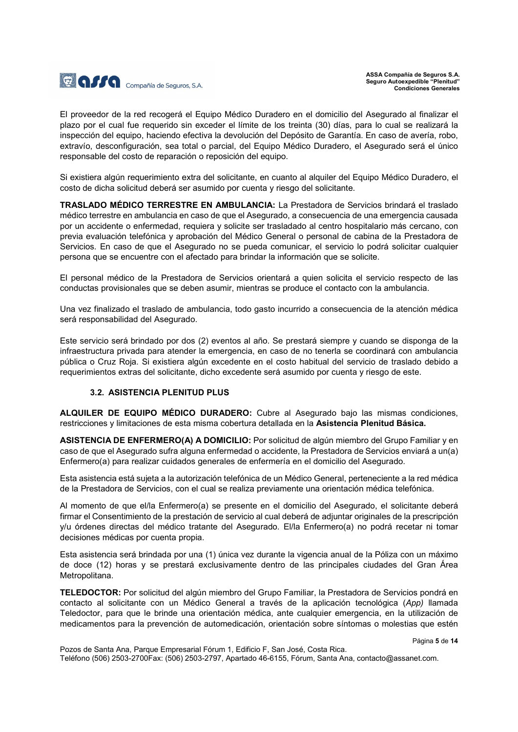

El proveedor de la red recogerá el Equipo Médico Duradero en el domicilio del Asegurado al finalizar el plazo por el cual fue requerido sin exceder el límite de los treinta (30) días, para lo cual se realizará la inspección del equipo, haciendo efectiva la devolución del Depósito de Garantía. En caso de avería, robo, extravío, desconfiguración, sea total o parcial, del Equipo Médico Duradero, el Asegurado será el único responsable del costo de reparación o reposición del equipo.

Si existiera algún requerimiento extra del solicitante, en cuanto al alquiler del Equipo Médico Duradero, el costo de dicha solicitud deberá ser asumido por cuenta y riesgo del solicitante.

TRASLADO MÉDICO TERRESTRE EN AMBULANCIA: La Prestadora de Servicios brindará el traslado médico terrestre en ambulancia en caso de que el Asegurado, a consecuencia de una emergencia causada por un accidente o enfermedad, requiera y solicite ser trasladado al centro hospitalario más cercano, con previa evaluación telefónica y aprobación del Médico General o personal de cabina de la Prestadora de Servicios. En caso de que el Asegurado no se pueda comunicar, el servicio lo podrá solicitar cualquier persona que se encuentre con el afectado para brindar la información que se solicite.

El personal médico de la Prestadora de Servicios orientará a quien solicita el servicio respecto de las conductas provisionales que se deben asumir, mientras se produce el contacto con la ambulancia.

Una vez finalizado el traslado de ambulancia, todo gasto incurrido a consecuencia de la atención médica será responsabilidad del Asegurado.

Este servicio será brindado por dos (2) eventos al año. Se prestará siempre y cuando se disponga de la infraestructura privada para atender la emergencia, en caso de no tenerla se coordinará con ambulancia pública o Cruz Roja. Si existiera algún excedente en el costo habitual del servicio de traslado debido a requerimientos extras del solicitante, dicho excedente será asumido por cuenta y riesgo de este.

#### 3.2. ASISTENCIA PLENITUD PLUS

ALQUILER DE EQUIPO MÉDICO DURADERO: Cubre al Asegurado bajo las mismas condiciones, restricciones y limitaciones de esta misma cobertura detallada en la Asistencia Plenitud Básica.

ASISTENCIA DE ENFERMERO(A) A DOMICILIO: Por solicitud de algún miembro del Grupo Familiar y en caso de que el Asegurado sufra alguna enfermedad o accidente, la Prestadora de Servicios enviará a un(a) Enfermero(a) para realizar cuidados generales de enfermería en el domicilio del Asegurado.

Esta asistencia está sujeta a la autorización telefónica de un Médico General, perteneciente a la red médica de la Prestadora de Servicios, con el cual se realiza previamente una orientación médica telefónica.

Al momento de que el/la Enfermero(a) se presente en el domicilio del Asegurado, el solicitante deberá firmar el Consentimiento de la prestación de servicio al cual deberá de adjuntar originales de la prescripción y/u órdenes directas del médico tratante del Asegurado. El/la Enfermero(a) no podrá recetar ni tomar decisiones médicas por cuenta propia.

Esta asistencia será brindada por una (1) única vez durante la vigencia anual de la Póliza con un máximo de doce (12) horas y se prestará exclusivamente dentro de las principales ciudades del Gran Área Metropolitana.

TELEDOCTOR: Por solicitud del algún miembro del Grupo Familiar, la Prestadora de Servicios pondrá en contacto al solicitante con un Médico General a través de la aplicación tecnológica (App) llamada Teledoctor, para que le brinde una orientación médica, ante cualquier emergencia, en la utilización de medicamentos para la prevención de automedicación, orientación sobre síntomas o molestias que estén

Pozos de Santa Ana, Parque Empresarial Fórum 1, Edificio F, San José, Costa Rica. Teléfono (506) 2503-2700Fax: (506) 2503-2797, Apartado 46-6155, Fórum, Santa Ana, contacto@assanet.com.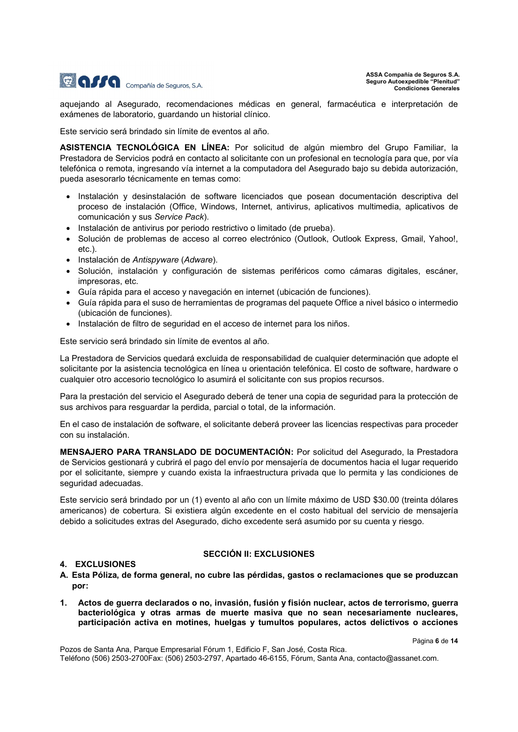

aquejando al Asegurado, recomendaciones médicas en general, farmacéutica e interpretación de exámenes de laboratorio, guardando un historial clínico.

Este servicio será brindado sin límite de eventos al año.

ASISTENCIA TECNOLÓGICA EN LÍNEA: Por solicitud de algún miembro del Grupo Familiar, la Prestadora de Servicios podrá en contacto al solicitante con un profesional en tecnología para que, por vía telefónica o remota, ingresando vía internet a la computadora del Asegurado bajo su debida autorización, pueda asesorarlo técnicamente en temas como:

- Instalación y desinstalación de software licenciados que posean documentación descriptiva del proceso de instalación (Office, Windows, Internet, antivirus, aplicativos multimedia, aplicativos de comunicación y sus Service Pack).
- $\bullet$  Instalación de antivirus por periodo restrictivo o limitado (de prueba).
- Solución de problemas de acceso al correo electrónico (Outlook, Outlook Express, Gmail, Yahoo!, etc.).
- Instalación de Antispyware (Adware).
- Solución, instalación y configuración de sistemas periféricos como cámaras digitales, escáner, impresoras, etc.
- Guía rápida para el acceso y navegación en internet (ubicación de funciones).
- Guía rápida para el suso de herramientas de programas del paquete Office a nivel básico o intermedio (ubicación de funciones).
- $\bullet$  Instalación de filtro de seguridad en el acceso de internet para los niños.

Este servicio será brindado sin límite de eventos al año.

La Prestadora de Servicios quedará excluida de responsabilidad de cualquier determinación que adopte el solicitante por la asistencia tecnológica en línea u orientación telefónica. El costo de software, hardware o cualquier otro accesorio tecnológico lo asumirá el solicitante con sus propios recursos.

Para la prestación del servicio el Asegurado deberá de tener una copia de seguridad para la protección de sus archivos para resguardar la perdida, parcial o total, de la información.

En el caso de instalación de software, el solicitante deberá proveer las licencias respectivas para proceder con su instalación.

MENSAJERO PARA TRANSLADO DE DOCUMENTACIÓN: Por solicitud del Asegurado, la Prestadora de Servicios gestionará y cubrirá el pago del envío por mensajería de documentos hacia el lugar requerido por el solicitante, siempre y cuando exista la infraestructura privada que lo permita y las condiciones de seguridad adecuadas.

Este servicio será brindado por un (1) evento al año con un límite máximo de USD \$30.00 (treinta dólares americanos) de cobertura. Si existiera algún excedente en el costo habitual del servicio de mensajería debido a solicitudes extras del Asegurado, dicho excedente será asumido por su cuenta y riesgo.

# 4. EXCLUSIONES

# SECCIÓN II: EXCLUSIONES

- A. Esta Póliza, de forma general, no cubre las pérdidas, gastos o reclamaciones que se produzcan por:
- 1. Actos de guerra declarados o no, invasión, fusión y fisión nuclear, actos de terrorismo, guerra bacteriológica y otras armas de muerte masiva que no sean necesariamente nucleares, participación activa en motines, huelgas y tumultos populares, actos delictivos o acciones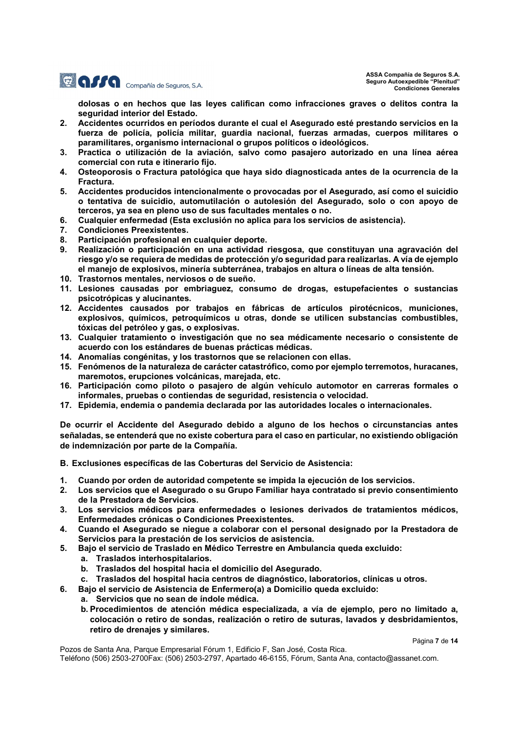

dolosas o en hechos que las leyes califican como infracciones graves o delitos contra la seguridad interior del Estado.

- 2. Accidentes ocurridos en períodos durante el cual el Asegurado esté prestando servicios en la fuerza de policía, policía militar, guardia nacional, fuerzas armadas, cuerpos militares o paramilitares, organismo internacional o grupos políticos o ideológicos.
- 3. Practica o utilización de la aviación, salvo como pasajero autorizado en una línea aérea comercial con ruta e itinerario fijo.
- 4. Osteoporosis o Fractura patológica que haya sido diagnosticada antes de la ocurrencia de la Fractura.
- 5. Accidentes producidos intencionalmente o provocadas por el Asegurado, así como el suicidio o tentativa de suicidio, automutilación o autolesión del Asegurado, solo o con apoyo de terceros, ya sea en pleno uso de sus facultades mentales o no.
- 6. Cualquier enfermedad (Esta exclusión no aplica para los servicios de asistencia).
- 7. Condiciones Preexistentes.
- 8. Participación profesional en cualquier deporte.
- 9. Realización o participación en una actividad riesgosa, que constituyan una agravación del riesgo y/o se requiera de medidas de protección y/o seguridad para realizarlas. A vía de ejemplo el manejo de explosivos, minería subterránea, trabajos en altura o líneas de alta tensión.
- 10. Trastornos mentales, nerviosos o de sueño.
- 11. Lesiones causadas por embriaguez, consumo de drogas, estupefacientes o sustancias psicotrópicas y alucinantes.
- 12. Accidentes causados por trabajos en fábricas de artículos pirotécnicos, municiones, explosivos, químicos, petroquímicos u otras, donde se utilicen substancias combustibles, tóxicas del petróleo y gas, o explosivas.
- 13. Cualquier tratamiento o investigación que no sea médicamente necesario o consistente de acuerdo con los estándares de buenas prácticas médicas.
- 14. Anomalías congénitas, y los trastornos que se relacionen con ellas.
- 15. Fenómenos de la naturaleza de carácter catastrófico, como por ejemplo terremotos, huracanes, maremotos, erupciones volcánicas, marejada, etc.
- 16. Participación como piloto o pasajero de algún vehículo automotor en carreras formales o informales, pruebas o contiendas de seguridad, resistencia o velocidad.
- 17. Epidemia, endemia o pandemia declarada por las autoridades locales o internacionales.

De ocurrir el Accidente del Asegurado debido a alguno de los hechos o circunstancias antes señaladas, se entenderá que no existe cobertura para el caso en particular, no existiendo obligación de indemnización por parte de la Compañía.

B. Exclusiones específicas de las Coberturas del Servicio de Asistencia:

- 1. Cuando por orden de autoridad competente se impida la ejecución de los servicios.
- 2. Los servicios que el Asegurado o su Grupo Familiar haya contratado si previo consentimiento de la Prestadora de Servicios.
- 3. Los servicios médicos para enfermedades o lesiones derivados de tratamientos médicos, Enfermedades crónicas o Condiciones Preexistentes.
- 4. Cuando el Asegurado se niegue a colaborar con el personal designado por la Prestadora de Servicios para la prestación de los servicios de asistencia.
- 5. Bajo el servicio de Traslado en Médico Terrestre en Ambulancia queda excluido:
	- a. Traslados interhospitalarios.
		- b. Traslados del hospital hacia el domicilio del Asegurado.
- c. Traslados del hospital hacia centros de diagnóstico, laboratorios, clínicas u otros.
- 6. Bajo el servicio de Asistencia de Enfermero(a) a Domicilio queda excluido:
	- a. Servicios que no sean de índole médica.
	- b. Procedimientos de atención médica especializada, a vía de ejemplo, pero no limitado a, colocación o retiro de sondas, realización o retiro de suturas, lavados y desbridamientos, retiro de drenajes y similares.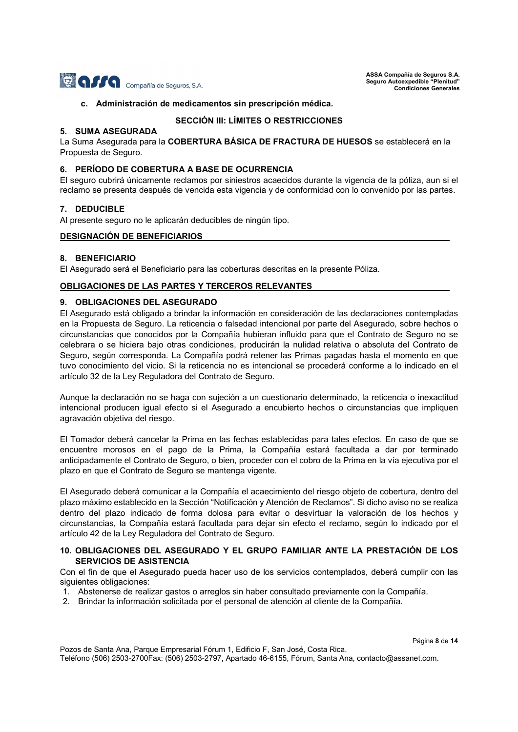

Página 8 de 14

#### c. Administración de medicamentos sin prescripción médica.

# SECCIÓN III: LÍMITES O RESTRICCIONES

# 5. SUMA ASEGURADA

La Suma Asegurada para la COBERTURA BÁSICA DE FRACTURA DE HUESOS se establecerá en la Propuesta de Seguro.

#### 6. PERÍODO DE COBERTURA A BASE DE OCURRENCIA

El seguro cubrirá únicamente reclamos por siniestros acaecidos durante la vigencia de la póliza, aun si el reclamo se presenta después de vencida esta vigencia y de conformidad con lo convenido por las partes.

#### 7. DEDUCIBLE

Al presente seguro no le aplicarán deducibles de ningún tipo.

#### DESIGNACIÓN DE BENEFICIARIOS

#### 8. BENEFICIARIO

El Asegurado será el Beneficiario para las coberturas descritas en la presente Póliza.

#### OBLIGACIONES DE LAS PARTES Y TERCEROS RELEVANTES

# 9. OBLIGACIONES DEL ASEGURADO

El Asegurado está obligado a brindar la información en consideración de las declaraciones contempladas en la Propuesta de Seguro. La reticencia o falsedad intencional por parte del Asegurado, sobre hechos o circunstancias que conocidos por la Compañía hubieran influido para que el Contrato de Seguro no se celebrara o se hiciera bajo otras condiciones, producirán la nulidad relativa o absoluta del Contrato de Seguro, según corresponda. La Compañía podrá retener las Primas pagadas hasta el momento en que tuvo conocimiento del vicio. Si la reticencia no es intencional se procederá conforme a lo indicado en el artículo 32 de la Ley Reguladora del Contrato de Seguro.

Aunque la declaración no se haga con sujeción a un cuestionario determinado, la reticencia o inexactitud intencional producen igual efecto si el Asegurado a encubierto hechos o circunstancias que impliquen agravación objetiva del riesgo.

El Tomador deberá cancelar la Prima en las fechas establecidas para tales efectos. En caso de que se encuentre morosos en el pago de la Prima, la Compañía estará facultada a dar por terminado anticipadamente el Contrato de Seguro, o bien, proceder con el cobro de la Prima en la vía ejecutiva por el plazo en que el Contrato de Seguro se mantenga vigente.

El Asegurado deberá comunicar a la Compañía el acaecimiento del riesgo objeto de cobertura, dentro del plazo máximo establecido en la Sección "Notificación y Atención de Reclamos". Si dicho aviso no se realiza dentro del plazo indicado de forma dolosa para evitar o desvirtuar la valoración de los hechos y circunstancias, la Compañía estará facultada para dejar sin efecto el reclamo, según lo indicado por el artículo 42 de la Ley Reguladora del Contrato de Seguro.

### 10. OBLIGACIONES DEL ASEGURADO Y EL GRUPO FAMILIAR ANTE LA PRESTACIÓN DE LOS SERVICIOS DE ASISTENCIA

Con el fin de que el Asegurado pueda hacer uso de los servicios contemplados, deberá cumplir con las siguientes obligaciones:

- 1. Abstenerse de realizar gastos o arreglos sin haber consultado previamente con la Compañía.
- 2. Brindar la información solicitada por el personal de atención al cliente de la Compañía.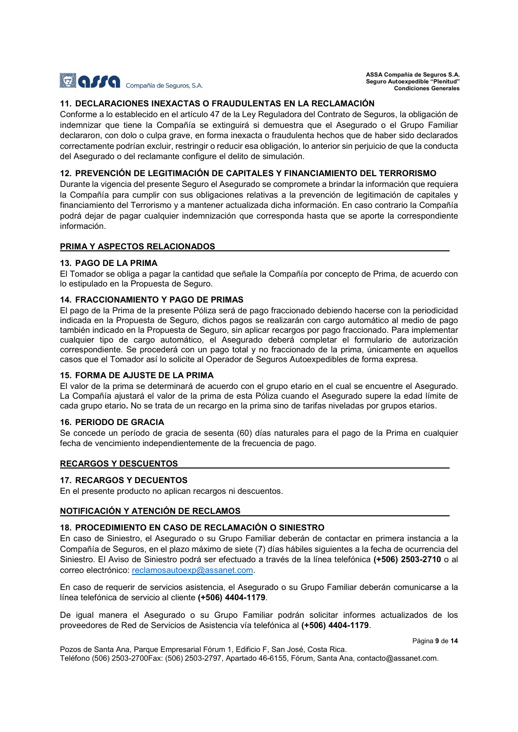

## 11. DECLARACIONES INEXACTAS O FRAUDULENTAS EN LA RECLAMACIÓN

Conforme a lo establecido en el artículo 47 de la Ley Reguladora del Contrato de Seguros, la obligación de indemnizar que tiene la Compañía se extinguirá si demuestra que el Asegurado o el Grupo Familiar declararon, con dolo o culpa grave, en forma inexacta o fraudulenta hechos que de haber sido declarados correctamente podrían excluir, restringir o reducir esa obligación, lo anterior sin perjuicio de que la conducta del Asegurado o del reclamante configure el delito de simulación.

#### 12. PREVENCIÓN DE LEGITIMACIÓN DE CAPITALES Y FINANCIAMIENTO DEL TERRORISMO

Durante la vigencia del presente Seguro el Asegurado se compromete a brindar la información que requiera la Compañía para cumplir con sus obligaciones relativas a la prevención de legitimación de capitales y financiamiento del Terrorismo y a mantener actualizada dicha información. En caso contrario la Compañía podrá dejar de pagar cualquier indemnización que corresponda hasta que se aporte la correspondiente información.

#### PRIMA Y ASPECTOS RELACIONADOS

### 13. PAGO DE LA PRIMA

El Tomador se obliga a pagar la cantidad que señale la Compañía por concepto de Prima, de acuerdo con lo estipulado en la Propuesta de Seguro.

#### 14. FRACCIONAMIENTO Y PAGO DE PRIMAS

El pago de la Prima de la presente Póliza será de pago fraccionado debiendo hacerse con la periodicidad indicada en la Propuesta de Seguro, dichos pagos se realizarán con cargo automático al medio de pago también indicado en la Propuesta de Seguro, sin aplicar recargos por pago fraccionado. Para implementar cualquier tipo de cargo automático, el Asegurado deberá completar el formulario de autorización correspondiente. Se procederá con un pago total y no fraccionado de la prima, únicamente en aquellos casos que el Tomador así lo solicite al Operador de Seguros Autoexpedibles de forma expresa.

#### 15. FORMA DE AJUSTE DE LA PRIMA

El valor de la prima se determinará de acuerdo con el grupo etario en el cual se encuentre el Asegurado. La Compañía ajustará el valor de la prima de esta Póliza cuando el Asegurado supere la edad límite de cada grupo etario. No se trata de un recargo en la prima sino de tarifas niveladas por grupos etarios.

#### 16. PERIODO DE GRACIA

Se concede un período de gracia de sesenta (60) días naturales para el pago de la Prima en cualquier fecha de vencimiento independientemente de la frecuencia de pago.

#### RECARGOS Y DESCUENTOS

#### 17. RECARGOS Y DECUENTOS

En el presente producto no aplican recargos ni descuentos.

#### NOTIFICACIÓN Y ATENCIÓN DE RECLAMOS

### 18. PROCEDIMIENTO EN CASO DE RECLAMACIÓN O SINIESTRO

En caso de Siniestro, el Asegurado o su Grupo Familiar deberán de contactar en primera instancia a la Compañía de Seguros, en el plazo máximo de siete (7) días hábiles siguientes a la fecha de ocurrencia del Siniestro. El Aviso de Siniestro podrá ser efectuado a través de la línea telefónica (+506) 2503-2710 o al correo electrónico: reclamosautoexp@assanet.com.

En caso de requerir de servicios asistencia, el Asegurado o su Grupo Familiar deberán comunicarse a la línea telefónica de servicio al cliente (+506) 4404-1179.

De igual manera el Asegurado o su Grupo Familiar podrán solicitar informes actualizados de los proveedores de Red de Servicios de Asistencia vía telefónica al (+506) 4404-1179.

Página 9 de 14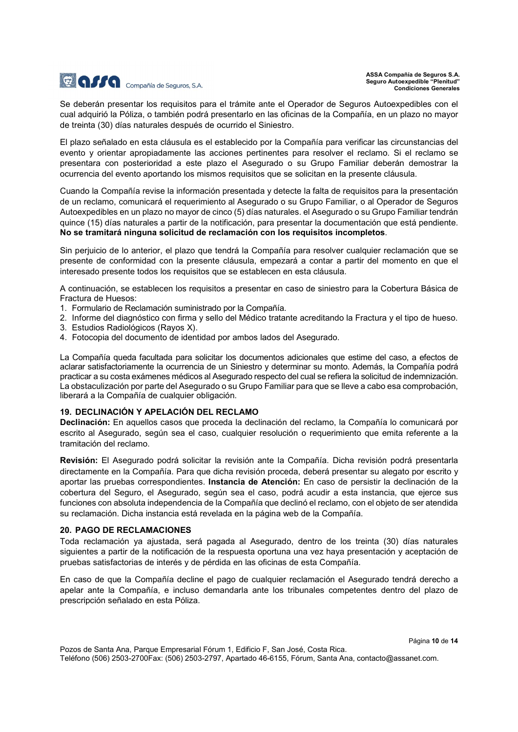

Se deberán presentar los requisitos para el trámite ante el Operador de Seguros Autoexpedibles con el cual adquirió la Póliza, o también podrá presentarlo en las oficinas de la Compañía, en un plazo no mayor de treinta (30) días naturales después de ocurrido el Siniestro.

El plazo señalado en esta cláusula es el establecido por la Compañía para verificar las circunstancias del evento y orientar apropiadamente las acciones pertinentes para resolver el reclamo. Si el reclamo se presentara con posterioridad a este plazo el Asegurado o su Grupo Familiar deberán demostrar la ocurrencia del evento aportando los mismos requisitos que se solicitan en la presente cláusula.

Cuando la Compañía revise la información presentada y detecte la falta de requisitos para la presentación de un reclamo, comunicará el requerimiento al Asegurado o su Grupo Familiar, o al Operador de Seguros Autoexpedibles en un plazo no mayor de cinco (5) días naturales. el Asegurado o su Grupo Familiar tendrán quince (15) días naturales a partir de la notificación, para presentar la documentación que está pendiente. No se tramitará ninguna solicitud de reclamación con los requisitos incompletos.

Sin perjuicio de lo anterior, el plazo que tendrá la Compañía para resolver cualquier reclamación que se presente de conformidad con la presente cláusula, empezará a contar a partir del momento en que el interesado presente todos los requisitos que se establecen en esta cláusula.

A continuación, se establecen los requisitos a presentar en caso de siniestro para la Cobertura Básica de Fractura de Huesos:

- 1. Formulario de Reclamación suministrado por la Compañía.
- 2. Informe del diagnóstico con firma y sello del Médico tratante acreditando la Fractura y el tipo de hueso.
- 3. Estudios Radiológicos (Rayos X).
- 4. Fotocopia del documento de identidad por ambos lados del Asegurado.

La Compañía queda facultada para solicitar los documentos adicionales que estime del caso, a efectos de aclarar satisfactoriamente la ocurrencia de un Siniestro y determinar su monto. Además, la Compañía podrá practicar a su costa exámenes médicos al Asegurado respecto del cual se refiera la solicitud de indemnización. La obstaculización por parte del Asegurado o su Grupo Familiar para que se lleve a cabo esa comprobación, liberará a la Compañía de cualquier obligación.

#### 19. DECLINACIÓN Y APELACIÓN DEL RECLAMO

Declinación: En aquellos casos que proceda la declinación del reclamo, la Compañía lo comunicará por escrito al Asegurado, según sea el caso, cualquier resolución o requerimiento que emita referente a la tramitación del reclamo.

Revisión: El Asegurado podrá solicitar la revisión ante la Compañía. Dicha revisión podrá presentarla directamente en la Compañía. Para que dicha revisión proceda, deberá presentar su alegato por escrito y aportar las pruebas correspondientes. Instancia de Atención: En caso de persistir la declinación de la cobertura del Seguro, el Asegurado, según sea el caso, podrá acudir a esta instancia, que ejerce sus funciones con absoluta independencia de la Compañía que declinó el reclamo, con el objeto de ser atendida su reclamación. Dicha instancia está revelada en la página web de la Compañía.

#### 20. PAGO DE RECLAMACIONES

Toda reclamación ya ajustada, será pagada al Asegurado, dentro de los treinta (30) días naturales siguientes a partir de la notificación de la respuesta oportuna una vez haya presentación y aceptación de pruebas satisfactorias de interés y de pérdida en las oficinas de esta Compañía.

En caso de que la Compañía decline el pago de cualquier reclamación el Asegurado tendrá derecho a apelar ante la Compañía, e incluso demandarla ante los tribunales competentes dentro del plazo de prescripción señalado en esta Póliza.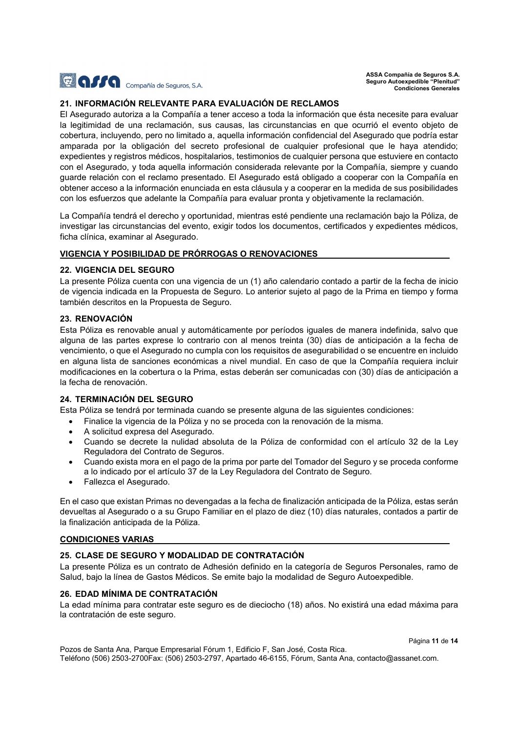

### 21. INFORMACIÓN RELEVANTE PARA EVALUACIÓN DE RECLAMOS

El Asegurado autoriza a la Compañía a tener acceso a toda la información que ésta necesite para evaluar la legitimidad de una reclamación, sus causas, las circunstancias en que ocurrió el evento objeto de cobertura, incluyendo, pero no limitado a, aquella información confidencial del Asegurado que podría estar amparada por la obligación del secreto profesional de cualquier profesional que le haya atendido; expedientes y registros médicos, hospitalarios, testimonios de cualquier persona que estuviere en contacto con el Asegurado, y toda aquella información considerada relevante por la Compañía, siempre y cuando guarde relación con el reclamo presentado. El Asegurado está obligado a cooperar con la Compañía en obtener acceso a la información enunciada en esta cláusula y a cooperar en la medida de sus posibilidades con los esfuerzos que adelante la Compañía para evaluar pronta y objetivamente la reclamación.

La Compañía tendrá el derecho y oportunidad, mientras esté pendiente una reclamación bajo la Póliza, de investigar las circunstancias del evento, exigir todos los documentos, certificados y expedientes médicos, ficha clínica, examinar al Asegurado.

#### VIGENCIA Y POSIBILIDAD DE PRÓRROGAS O RENOVACIONES

### 22. VIGENCIA DEL SEGURO

La presente Póliza cuenta con una vigencia de un (1) año calendario contado a partir de la fecha de inicio de vigencia indicada en la Propuesta de Seguro. Lo anterior sujeto al pago de la Prima en tiempo y forma también descritos en la Propuesta de Seguro.

### 23. RENOVACIÓN

Esta Póliza es renovable anual y automáticamente por períodos iguales de manera indefinida, salvo que alguna de las partes exprese lo contrario con al menos treinta (30) días de anticipación a la fecha de vencimiento, o que el Asegurado no cumpla con los requisitos de asegurabilidad o se encuentre en incluido en alguna lista de sanciones económicas a nivel mundial. En caso de que la Compañía requiera incluir modificaciones en la cobertura o la Prima, estas deberán ser comunicadas con (30) días de anticipación a la fecha de renovación.

# 24. TERMINACIÓN DEL SEGURO

Esta Póliza se tendrá por terminada cuando se presente alguna de las siguientes condiciones:

- Finalice la vigencia de la Póliza y no se proceda con la renovación de la misma.
- A solicitud expresa del Asegurado.
- Cuando se decrete la nulidad absoluta de la Póliza de conformidad con el artículo 32 de la Ley Reguladora del Contrato de Seguros.
- Cuando exista mora en el pago de la prima por parte del Tomador del Seguro y se proceda conforme a lo indicado por el artículo 37 de la Ley Reguladora del Contrato de Seguro.
- Fallezca el Asegurado.

En el caso que existan Primas no devengadas a la fecha de finalización anticipada de la Póliza, estas serán devueltas al Asegurado o a su Grupo Familiar en el plazo de diez (10) días naturales, contados a partir de la finalización anticipada de la Póliza.

#### CONDICIONES VARIAS

# 25. CLASE DE SEGURO Y MODALIDAD DE CONTRATACIÓN

La presente Póliza es un contrato de Adhesión definido en la categoría de Seguros Personales, ramo de Salud, bajo la línea de Gastos Médicos. Se emite bajo la modalidad de Seguro Autoexpedible.

### 26. EDAD MÍNIMA DE CONTRATACIÓN

La edad mínima para contratar este seguro es de dieciocho (18) años. No existirá una edad máxima para la contratación de este seguro.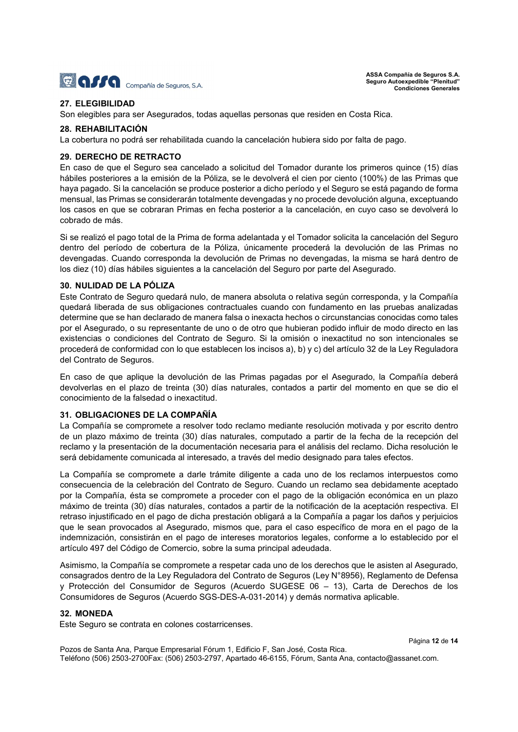

# 27. ELEGIBILIDAD

Son elegibles para ser Asegurados, todas aquellas personas que residen en Costa Rica.

#### 28. REHABILITACIÓN

La cobertura no podrá ser rehabilitada cuando la cancelación hubiera sido por falta de pago.

#### 29. DERECHO DE RETRACTO

En caso de que el Seguro sea cancelado a solicitud del Tomador durante los primeros quince (15) días hábiles posteriores a la emisión de la Póliza, se le devolverá el cien por ciento (100%) de las Primas que haya pagado. Si la cancelación se produce posterior a dicho período y el Seguro se está pagando de forma mensual, las Primas se considerarán totalmente devengadas y no procede devolución alguna, exceptuando los casos en que se cobraran Primas en fecha posterior a la cancelación, en cuyo caso se devolverá lo cobrado de más.

Si se realizó el pago total de la Prima de forma adelantada y el Tomador solicita la cancelación del Seguro dentro del período de cobertura de la Póliza, únicamente procederá la devolución de las Primas no devengadas. Cuando corresponda la devolución de Primas no devengadas, la misma se hará dentro de los diez (10) días hábiles siguientes a la cancelación del Seguro por parte del Asegurado.

#### 30. NULIDAD DE LA PÓLIZA

Este Contrato de Seguro quedará nulo, de manera absoluta o relativa según corresponda, y la Compañía quedará liberada de sus obligaciones contractuales cuando con fundamento en las pruebas analizadas determine que se han declarado de manera falsa o inexacta hechos o circunstancias conocidas como tales por el Asegurado, o su representante de uno o de otro que hubieran podido influir de modo directo en las existencias o condiciones del Contrato de Seguro. Si la omisión o inexactitud no son intencionales se procederá de conformidad con lo que establecen los incisos a), b) y c) del artículo 32 de la Ley Reguladora del Contrato de Seguros.

En caso de que aplique la devolución de las Primas pagadas por el Asegurado, la Compañía deberá devolverlas en el plazo de treinta (30) días naturales, contados a partir del momento en que se dio el conocimiento de la falsedad o inexactitud.

#### 31. OBLIGACIONES DE LA COMPAÑÍA

La Compañía se compromete a resolver todo reclamo mediante resolución motivada y por escrito dentro de un plazo máximo de treinta (30) días naturales, computado a partir de la fecha de la recepción del reclamo y la presentación de la documentación necesaria para el análisis del reclamo. Dicha resolución le será debidamente comunicada al interesado, a través del medio designado para tales efectos.

La Compañía se compromete a darle trámite diligente a cada uno de los reclamos interpuestos como consecuencia de la celebración del Contrato de Seguro. Cuando un reclamo sea debidamente aceptado por la Compañía, ésta se compromete a proceder con el pago de la obligación económica en un plazo máximo de treinta (30) días naturales, contados a partir de la notificación de la aceptación respectiva. El retraso injustificado en el pago de dicha prestación obligará a la Compañía a pagar los daños y perjuicios que le sean provocados al Asegurado, mismos que, para el caso específico de mora en el pago de la indemnización, consistirán en el pago de intereses moratorios legales, conforme a lo establecido por el artículo 497 del Código de Comercio, sobre la suma principal adeudada.

Asimismo, la Compañía se compromete a respetar cada uno de los derechos que le asisten al Asegurado, consagrados dentro de la Ley Reguladora del Contrato de Seguros (Ley N°8956), Reglamento de Defensa y Protección del Consumidor de Seguros (Acuerdo SUGESE 06 – 13), Carta de Derechos de los Consumidores de Seguros (Acuerdo SGS-DES-A-031-2014) y demás normativa aplicable.

# 32. MONEDA

Este Seguro se contrata en colones costarricenses.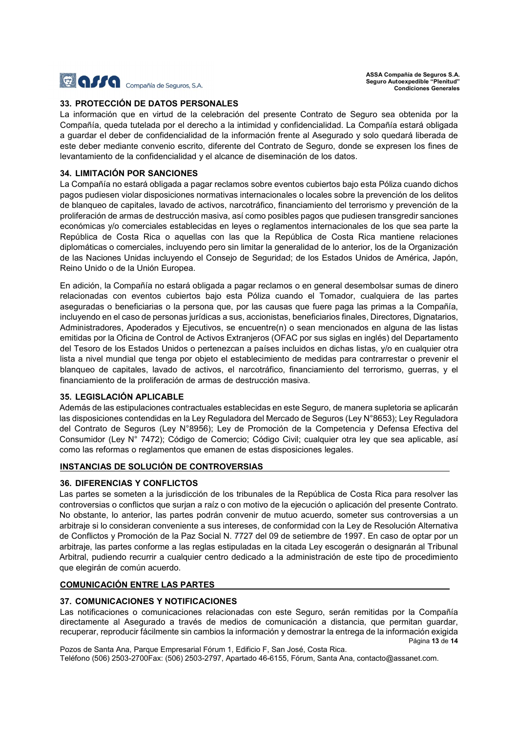

# 33. PROTECCIÓN DE DATOS PERSONALES

La información que en virtud de la celebración del presente Contrato de Seguro sea obtenida por la Compañía, queda tutelada por el derecho a la intimidad y confidencialidad. La Compañía estará obligada a guardar el deber de confidencialidad de la información frente al Asegurado y solo quedará liberada de este deber mediante convenio escrito, diferente del Contrato de Seguro, donde se expresen los fines de levantamiento de la confidencialidad y el alcance de diseminación de los datos.

### 34. LIMITACIÓN POR SANCIONES

La Compañía no estará obligada a pagar reclamos sobre eventos cubiertos bajo esta Póliza cuando dichos pagos pudiesen violar disposiciones normativas internacionales o locales sobre la prevención de los delitos de blanqueo de capitales, lavado de activos, narcotráfico, financiamiento del terrorismo y prevención de la proliferación de armas de destrucción masiva, así como posibles pagos que pudiesen transgredir sanciones económicas y/o comerciales establecidas en leyes o reglamentos internacionales de los que sea parte la República de Costa Rica o aquellas con las que la República de Costa Rica mantiene relaciones diplomáticas o comerciales, incluyendo pero sin limitar la generalidad de lo anterior, los de la Organización de las Naciones Unidas incluyendo el Consejo de Seguridad; de los Estados Unidos de América, Japón, Reino Unido o de la Unión Europea.

En adición, la Compañía no estará obligada a pagar reclamos o en general desembolsar sumas de dinero relacionadas con eventos cubiertos bajo esta Póliza cuando el Tomador, cualquiera de las partes aseguradas o beneficiarias o la persona que, por las causas que fuere paga las primas a la Compañía, incluyendo en el caso de personas jurídicas a sus, accionistas, beneficiarios finales, Directores, Dignatarios, Administradores, Apoderados y Ejecutivos, se encuentre(n) o sean mencionados en alguna de las listas emitidas por la Oficina de Control de Activos Extranjeros (OFAC por sus siglas en inglés) del Departamento del Tesoro de los Estados Unidos o pertenezcan a países incluidos en dichas listas, y/o en cualquier otra lista a nivel mundial que tenga por objeto el establecimiento de medidas para contrarrestar o prevenir el blanqueo de capitales, lavado de activos, el narcotráfico, financiamiento del terrorismo, guerras, y el financiamiento de la proliferación de armas de destrucción masiva.

#### 35. LEGISLACIÓN APLICABLE

Además de las estipulaciones contractuales establecidas en este Seguro, de manera supletoria se aplicarán las disposiciones contendidas en la Ley Reguladora del Mercado de Seguros (Ley N°8653); Ley Reguladora del Contrato de Seguros (Ley N°8956); Ley de Promoción de la Competencia y Defensa Efectiva del Consumidor (Ley N° 7472); Código de Comercio; Código Civil; cualquier otra ley que sea aplicable, así como las reformas o reglamentos que emanen de estas disposiciones legales.

#### INSTANCIAS DE SOLUCIÓN DE CONTROVERSIAS

#### 36. DIFERENCIAS Y CONFLICTOS

Las partes se someten a la jurisdicción de los tribunales de la República de Costa Rica para resolver las controversias o conflictos que surjan a raíz o con motivo de la ejecución o aplicación del presente Contrato. No obstante, lo anterior, las partes podrán convenir de mutuo acuerdo, someter sus controversias a un arbitraje si lo consideran conveniente a sus intereses, de conformidad con la Ley de Resolución Alternativa de Conflictos y Promoción de la Paz Social N. 7727 del 09 de setiembre de 1997. En caso de optar por un arbitraje, las partes conforme a las reglas estipuladas en la citada Ley escogerán o designarán al Tribunal Arbitral, pudiendo recurrir a cualquier centro dedicado a la administración de este tipo de procedimiento que elegirán de común acuerdo.

# COMUNICACIÓN ENTRE LAS PARTES

# 37. COMUNICACIONES Y NOTIFICACIONES

Página 13 de 14 Las notificaciones o comunicaciones relacionadas con este Seguro, serán remitidas por la Compañía directamente al Asegurado a través de medios de comunicación a distancia, que permitan guardar, recuperar, reproducir fácilmente sin cambios la información y demostrar la entrega de la información exigida